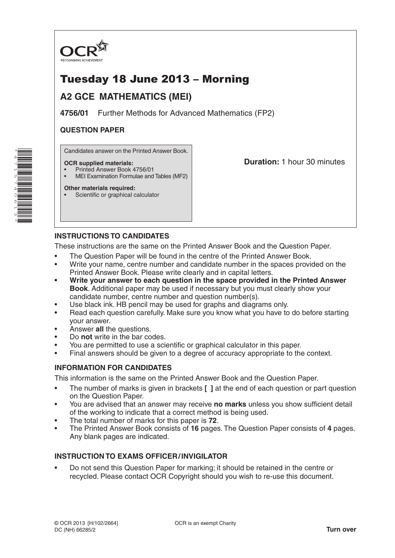

# Tuesday 18 June 2013 – Morning

# **A2 GCE MATHEMATICS (MEI)**

**4756/01** Further Methods for Advanced Mathematics (FP2)

# **QUESTION PAPER**

Candidates answer on the Printed Answer Book.

### **OCR supplied materials:**

- Printed Answer Book 4756/01
- MEI Examination Formulae and Tables (MF2)

**Other materials required:** Scientific or graphical calculator **Duration:** 1 hour 30 minutes

# **INSTRUCTIONS TO CANDIDATES**

These instructions are the same on the Printed Answer Book and the Question Paper.

- The Question Paper will be found in the centre of the Printed Answer Book.
- Write your name, centre number and candidate number in the spaces provided on the Printed Answer Book. Please write clearly and in capital letters.
- **• Write your answer to each question in the space provided in the Printed Answer Book**. Additional paper may be used if necessary but you must clearly show your candidate number, centre number and question number(s).
- Use black ink. HB pencil may be used for graphs and diagrams only.
- Read each question carefully. Make sure you know what you have to do before starting your answer.
- Answer **all** the questions.
- Do **not** write in the bar codes.
- You are permitted to use a scientific or graphical calculator in this paper.
- Final answers should be given to a degree of accuracy appropriate to the context.

## **INFORMATION FOR CANDIDATES**

This information is the same on the Printed Answer Book and the Question Paper.

- The number of marks is given in brackets **[ ]** at the end of each question or part question on the Question Paper.
- You are advised that an answer may receive **no marks** unless you show sufficient detail of the working to indicate that a correct method is being used.
- The total number of marks for this paper is **72**.
- The Printed Answer Book consists of **16** pages. The Question Paper consists of **4** pages. Any blank pages are indicated.

## **INSTRUCTION TO EXAMS OFFICER/INVIGILATOR**

• Do not send this Question Paper for marking; it should be retained in the centre or recycled. Please contact OCR Copyright should you wish to re-use this document.

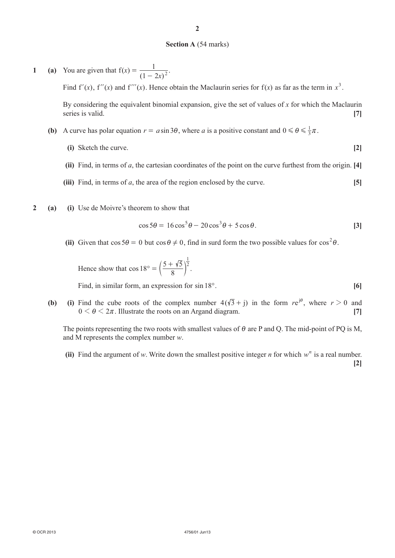#### **Section A** (54 marks)

**1 (a)** You are given that  $f(x) = \frac{1}{(1 - 2x)}$  $1 - 2x$  $=\frac{1}{(1-2x)^2}.$ Find  $f'(x)$ ,  $f''(x)$  and  $f'''(x)$ . Hence obtain the Maclaurin series for  $f(x)$  as far as the term in  $x^3$ .

By considering the equivalent binomial expansion, give the set of values of *x* for which the Maclaurin series is valid. **[7]** [7]

- **(b)** A curve has polar equation  $r = a \sin 3\theta$ , where *a* is a positive constant and  $0 \le \theta \le \frac{1}{3}\pi$ .
	- **(i)** Sketch the curve. **[2]**
	- **(ii)** Find, in terms of *a*, the cartesian coordinates of the point on the curve furthest from the origin. **[4]**
	- **(iii)** Find, in terms of *a*, the area of the region enclosed by the curve. **[5]**
- **2 (a) (i)** Use de Moivre's theorem to show that

$$
\cos 5\theta = 16\cos^5 \theta - 20\cos^3 \theta + 5\cos \theta.
$$
 [3]

(ii) Given that  $\cos 5\theta = 0$  but  $\cos \theta \neq 0$ , find in surd form the two possible values for  $\cos^2 \theta$ .

Hence show that 
$$
\cos 18^\circ = \left(\frac{5 + \sqrt{5}}{8}\right)^{\frac{1}{2}}
$$
.

Find, in similar form, an expression for sin 18°. **[6]** 

**(b) (i)** Find the cube roots of the complex number  $4(\sqrt{3} + j)$  in the form  $re^{j\theta}$ , where  $r > 0$  and  $0 \le \theta \le 2\pi$ . Illustrate the roots on an Argand diagram. **[7]** 

The points representing the two roots with smallest values of  $\theta$  are P and Q. The mid-point of PQ is M, and M represents the complex number *w*.

**(ii)** Find the argument of *w*. Write down the smallest positive integer *n* for which  $w^n$  is a real number. **[2]**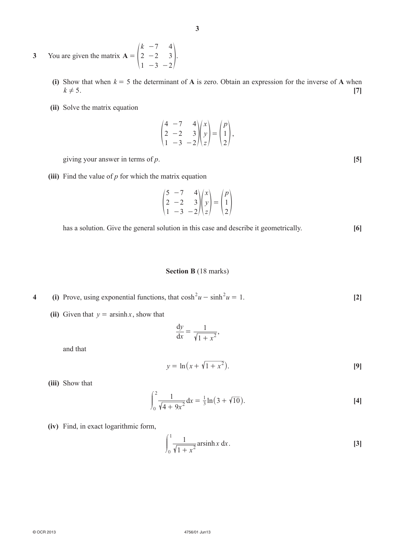- **3** You are given the matrix **A** *k* 2 1 7 2 3 4 3 2 = -  $\begin{pmatrix} 2 & -2 & 3 \\ 1 & -3 & -2 \end{pmatrix}$ .
	- **(i)** Show that when  $k = 5$  the determinant of **A** is zero. Obtain an expression for the inverse of **A** when  $k \neq 5$ . [7]
	- **(ii)** Solve the matrix equation

$$
\begin{pmatrix} 4 & -7 & 4 \\ 2 & -2 & 3 \\ 1 & -3 & -2 \end{pmatrix} \begin{pmatrix} x \\ y \\ z \end{pmatrix} = \begin{pmatrix} p \\ 1 \\ 2 \end{pmatrix},
$$

giving your answer in terms of *p*. **[5]**

**(iii)** Find the value of *p* for which the matrix equation

$$
\begin{pmatrix} 5 & -7 & 4 \\ 2 & -2 & 3 \\ 1 & -3 & -2 \end{pmatrix} \begin{pmatrix} x \\ y \\ z \end{pmatrix} = \begin{pmatrix} p \\ 1 \\ 2 \end{pmatrix}
$$

has a solution. Give the general solution in this case and describe it geometrically. **[6]**

### **Section B** (18 marks)

- **4 (i)** Prove, using exponential functions, that  $cosh^2 u sinh^2 u = 1$ . [2]
	- (ii) Given that  $y = \operatorname{arsinh} x$ , show that

$$
\frac{\mathrm{d}y}{\mathrm{d}x} = \frac{1}{\sqrt{1+x^2}},
$$

and that

$$
y = \ln(x + \sqrt{1 + x^2}).
$$
 [9]

**(iii)** Show that

$$
\int_0^2 \frac{1}{\sqrt{4+9x^2}} dx = \frac{1}{3} \ln(3+\sqrt{10}).
$$
 [4]

**(iv)** Find, in exact logarithmic form,

$$
\int_0^1 \frac{1}{\sqrt{1+x^2}} \operatorname{arsinh} x \, \mathrm{d}x. \tag{3}
$$